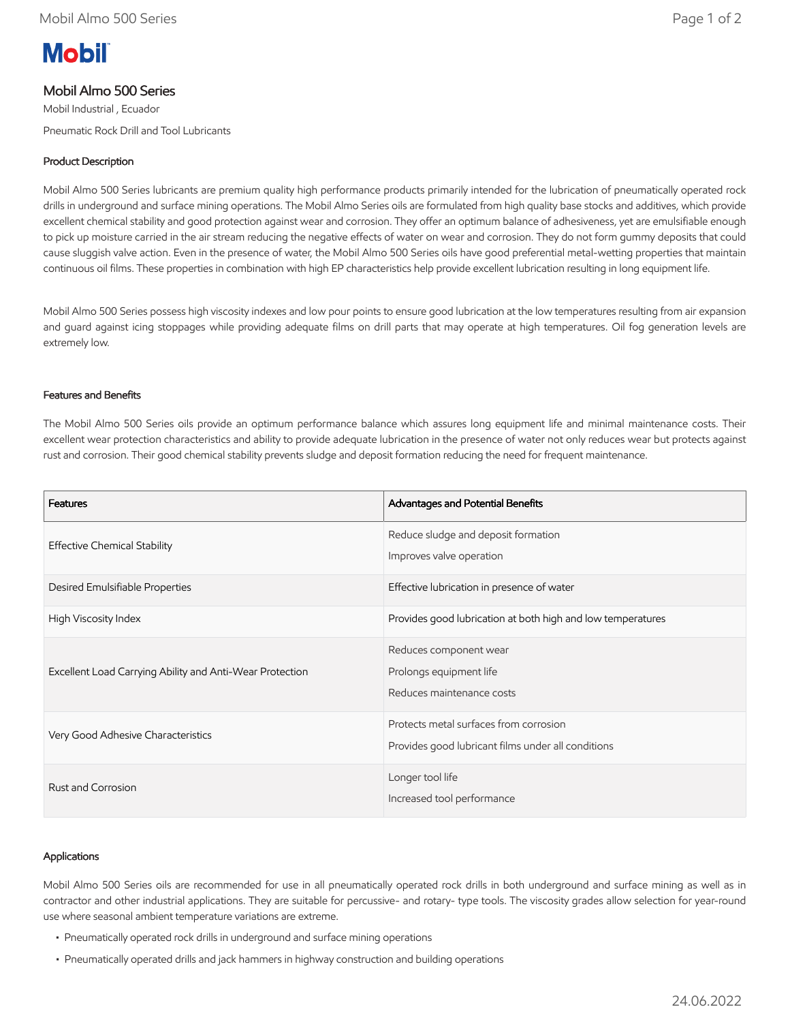# **Mobil**

# Mobil Almo 500 Series

Mobil Industrial , Ecuador Pneumatic Rock Drill and Tool Lubricants

# Product Description

Mobil Almo 500 Series lubricants are premium quality high performance products primarily intended for the lubrication of pneumatically operated rock drills in underground and surface mining operations. The Mobil Almo Series oils are formulated from high quality base stocks and additives, which provide excellent chemical stability and good protection against wear and corrosion. They offer an optimum balance of adhesiveness, yet are emulsifiable enough to pick up moisture carried in the air stream reducing the negative effects of water on wear and corrosion. They do not form gummy deposits that could cause sluggish valve action. Even in the presence of water, the Mobil Almo 500 Series oils have good preferential metal-wetting properties that maintain continuous oil films. These properties in combination with high EP characteristics help provide excellent lubrication resulting in long equipment life.

Mobil Almo 500 Series possess high viscosity indexes and low pour points to ensure good lubrication at the low temperatures resulting from air expansion and guard against icing stoppages while providing adequate films on drill parts that may operate at high temperatures. Oil fog generation levels are extremely low.

## Features and Benefits

The Mobil Almo 500 Series oils provide an optimum performance balance which assures long equipment life and minimal maintenance costs. Their excellent wear protection characteristics and ability to provide adequate lubrication in the presence of water not only reduces wear but protects against rust and corrosion. Their good chemical stability prevents sludge and deposit formation reducing the need for frequent maintenance.

| Features                                                 | Advantages and Potential Benefits                                                            |
|----------------------------------------------------------|----------------------------------------------------------------------------------------------|
| <b>Effective Chemical Stability</b>                      | Reduce sludge and deposit formation<br>Improves valve operation                              |
| Desired Emulsifiable Properties                          | Effective lubrication in presence of water                                                   |
| High Viscosity Index                                     | Provides good lubrication at both high and low temperatures                                  |
| Excellent Load Carrying Ability and Anti-Wear Protection | Reduces component wear<br>Prolongs equipment life<br>Reduces maintenance costs               |
| Very Good Adhesive Characteristics                       | Protects metal surfaces from corrosion<br>Provides good lubricant films under all conditions |
| Rust and Corrosion                                       | Longer tool life<br>Increased tool performance                                               |

#### Applications

Mobil Almo 500 Series oils are recommended for use in all pneumatically operated rock drills in both underground and surface mining as well as in contractor and other industrial applications. They are suitable for percussive- and rotary- type tools. The viscosity grades allow selection for year-round use where seasonal ambient temperature variations are extreme.

- Pneumatically operated rock drills in underground and surface mining operations
- Pneumatically operated drills and jack hammers in highway construction and building operations